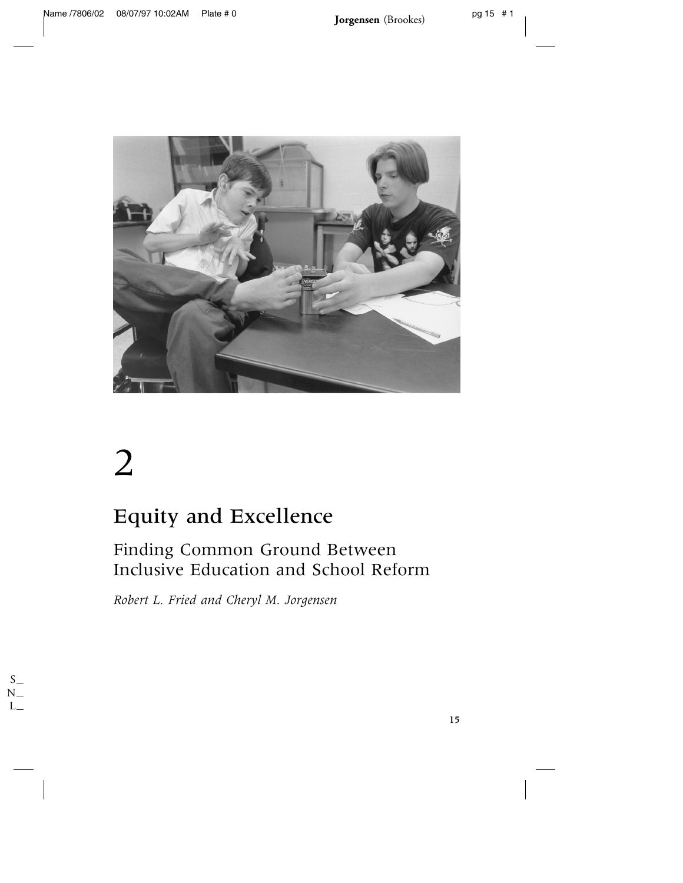

# 2

 $S_{-}$  $N_{-}$  $L_{-}$ 

## Equity and Excellence

### Finding Common Ground Between Inclusive Education and School Reform

*Robert L. Fried and Cheryl M. Jorgensen*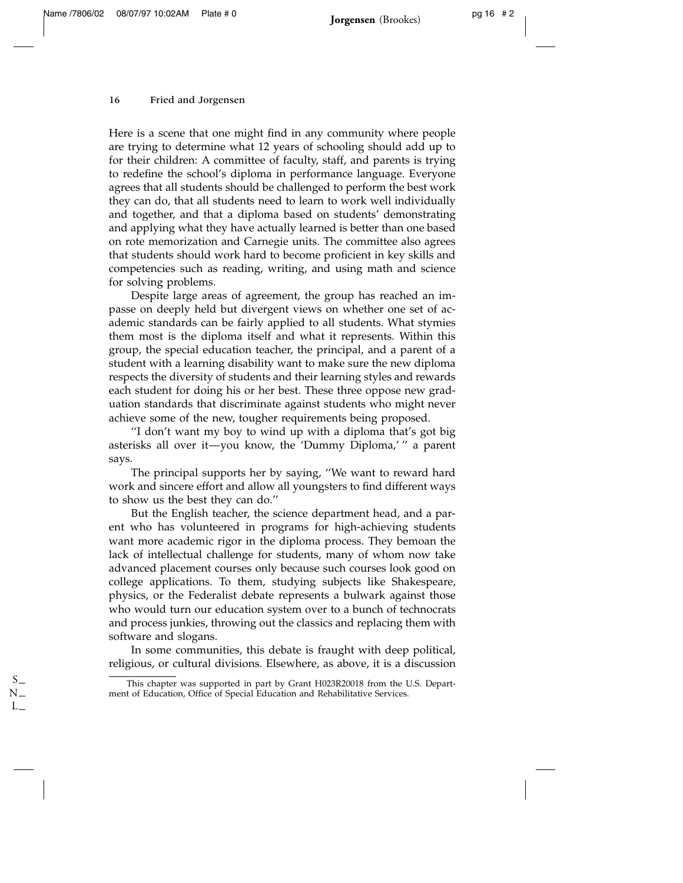Here is a scene that one might find in any community where people are trying to determine what 12 years of schooling should add up to for their children: A committee of faculty, staff, and parents is trying to redefine the school's diploma in performance language. Everyone agrees that all students should be challenged to perform the best work they can do, that all students need to learn to work well individually and together, and that a diploma based on students' demonstrating and applying what they have actually learned is better than one based on rote memorization and Carnegie units. The committee also agrees that students should work hard to become proficient in key skills and competencies such as reading, writing, and using math and science for solving problems.

Despite large areas of agreement, the group has reached an impasse on deeply held but divergent views on whether one set of academic standards can be fairly applied to all students. What stymies them most is the diploma itself and what it represents. Within this group, the special education teacher, the principal, and a parent of a student with a learning disability want to make sure the new diploma respects the diversity of students and their learning styles and rewards each student for doing his or her best. These three oppose new graduation standards that discriminate against students who might never achieve some of the new, tougher requirements being proposed.

''I don't want my boy to wind up with a diploma that's got big asterisks all over it—you know, the 'Dummy Diploma,' '' a parent says.

The principal supports her by saying, ''We want to reward hard work and sincere effort and allow all youngsters to find different ways to show us the best they can do.''

But the English teacher, the science department head, and a parent who has volunteered in programs for high-achieving students want more academic rigor in the diploma process. They bemoan the lack of intellectual challenge for students, many of whom now take advanced placement courses only because such courses look good on college applications. To them, studying subjects like Shakespeare, physics, or the Federalist debate represents a bulwark against those who would turn our education system over to a bunch of technocrats and process junkies, throwing out the classics and replacing them with software and slogans.

In some communities, this debate is fraught with deep political, religious, or cultural divisions. Elsewhere, as above, it is a discussion

This chapter was supported in part by Grant H023R20018 from the U.S. Department of Education, Office of Special Education and Rehabilitative Services.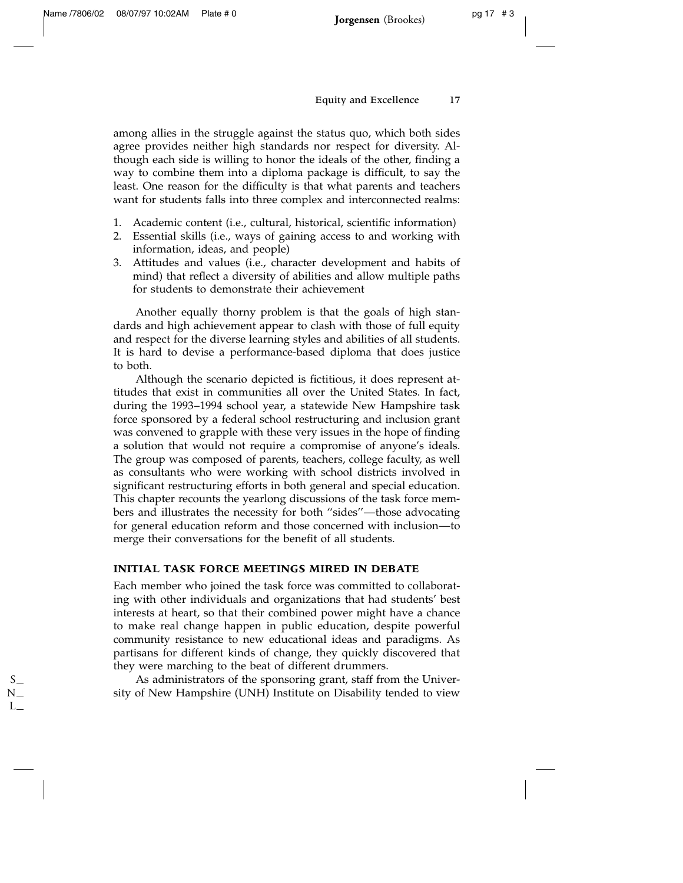**Jorgensen** (Brookes)

among allies in the struggle against the status quo, which both sides agree provides neither high standards nor respect for diversity. Although each side is willing to honor the ideals of the other, finding a way to combine them into a diploma package is difficult, to say the least. One reason for the difficulty is that what parents and teachers want for students falls into three complex and interconnected realms:

- 1. Academic content (i.e., cultural, historical, scientific information)
- 2. Essential skills (i.e., ways of gaining access to and working with information, ideas, and people)
- 3. Attitudes and values (i.e., character development and habits of mind) that reflect a diversity of abilities and allow multiple paths for students to demonstrate their achievement

Another equally thorny problem is that the goals of high standards and high achievement appear to clash with those of full equity and respect for the diverse learning styles and abilities of all students. It is hard to devise a performance-based diploma that does justice to both.

Although the scenario depicted is fictitious, it does represent attitudes that exist in communities all over the United States. In fact, during the 1993–1994 school year, a statewide New Hampshire task force sponsored by a federal school restructuring and inclusion grant was convened to grapple with these very issues in the hope of finding a solution that would not require a compromise of anyone's ideals. The group was composed of parents, teachers, college faculty, as well as consultants who were working with school districts involved in significant restructuring efforts in both general and special education. This chapter recounts the yearlong discussions of the task force members and illustrates the necessity for both ''sides''—those advocating for general education reform and those concerned with inclusion—to merge their conversations for the benefit of all students.

#### **INITIAL TASK FORCE MEETINGS MIRED IN DEBATE**

Each member who joined the task force was committed to collaborating with other individuals and organizations that had students' best interests at heart, so that their combined power might have a chance to make real change happen in public education, despite powerful community resistance to new educational ideas and paradigms. As partisans for different kinds of change, they quickly discovered that they were marching to the beat of different drummers.

As administrators of the sponsoring grant, staff from the University of New Hampshire (UNH) Institute on Disability tended to view

S N  $L_{-}$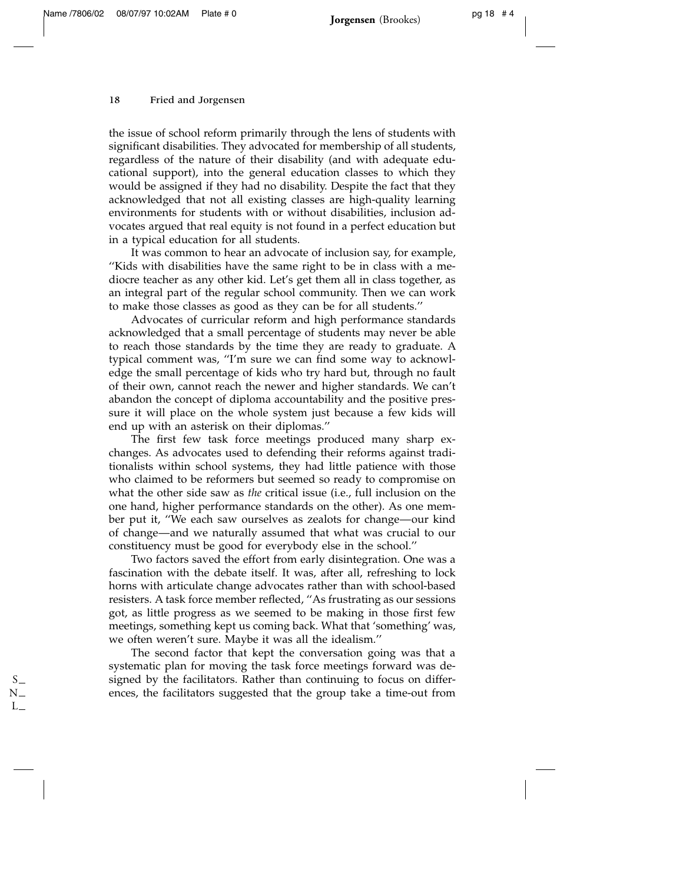S  $N_{-}$  $L_{-}$ 

#### 18 Fried and Jorgensen

the issue of school reform primarily through the lens of students with significant disabilities. They advocated for membership of all students, regardless of the nature of their disability (and with adequate educational support), into the general education classes to which they would be assigned if they had no disability. Despite the fact that they acknowledged that not all existing classes are high-quality learning environments for students with or without disabilities, inclusion advocates argued that real equity is not found in a perfect education but in a typical education for all students.

It was common to hear an advocate of inclusion say, for example, ''Kids with disabilities have the same right to be in class with a mediocre teacher as any other kid. Let's get them all in class together, as an integral part of the regular school community. Then we can work to make those classes as good as they can be for all students.''

Advocates of curricular reform and high performance standards acknowledged that a small percentage of students may never be able to reach those standards by the time they are ready to graduate. A typical comment was, ''I'm sure we can find some way to acknowledge the small percentage of kids who try hard but, through no fault of their own, cannot reach the newer and higher standards. We can't abandon the concept of diploma accountability and the positive pressure it will place on the whole system just because a few kids will end up with an asterisk on their diplomas.''

The first few task force meetings produced many sharp exchanges. As advocates used to defending their reforms against traditionalists within school systems, they had little patience with those who claimed to be reformers but seemed so ready to compromise on what the other side saw as *the* critical issue (i.e., full inclusion on the one hand, higher performance standards on the other). As one member put it, ''We each saw ourselves as zealots for change—our kind of change—and we naturally assumed that what was crucial to our constituency must be good for everybody else in the school.''

Two factors saved the effort from early disintegration. One was a fascination with the debate itself. It was, after all, refreshing to lock horns with articulate change advocates rather than with school-based resisters. A task force member reflected, ''As frustrating as our sessions got, as little progress as we seemed to be making in those first few meetings, something kept us coming back. What that 'something' was, we often weren't sure. Maybe it was all the idealism.''

The second factor that kept the conversation going was that a systematic plan for moving the task force meetings forward was designed by the facilitators. Rather than continuing to focus on differences, the facilitators suggested that the group take a time-out from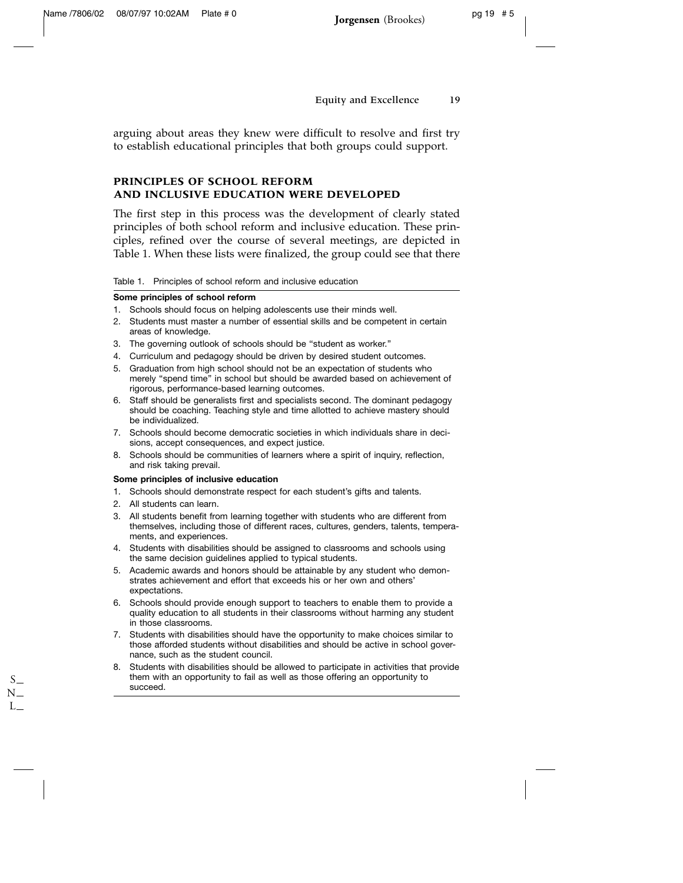arguing about areas they knew were difficult to resolve and first try to establish educational principles that both groups could support.

#### **PRINCIPLES OF SCHOOL REFORM AND INCLUSIVE EDUCATION WERE DEVELOPED**

The first step in this process was the development of clearly stated principles of both school reform and inclusive education. These principles, refined over the course of several meetings, are depicted in Table 1. When these lists were finalized, the group could see that there

Table 1. Principles of school reform and inclusive education

#### **Some principles of school reform**

- 1. Schools should focus on helping adolescents use their minds well.
- 2. Students must master a number of essential skills and be competent in certain areas of knowledge.
- 3. The governing outlook of schools should be ''student as worker.''
- 4. Curriculum and pedagogy should be driven by desired student outcomes.
- 5. Graduation from high school should not be an expectation of students who merely "spend time" in school but should be awarded based on achievement of rigorous, performance-based learning outcomes.
- 6. Staff should be generalists first and specialists second. The dominant pedagogy should be coaching. Teaching style and time allotted to achieve mastery should be individualized.
- 7. Schools should become democratic societies in which individuals share in decisions, accept consequences, and expect justice.
- 8. Schools should be communities of learners where a spirit of inquiry, reflection, and risk taking prevail.

#### **Some principles of inclusive education**

- 1. Schools should demonstrate respect for each student's gifts and talents.
- 2. All students can learn.

S N  $L$ 

- 3. All students benefit from learning together with students who are different from themselves, including those of different races, cultures, genders, talents, temperaments, and experiences.
- 4. Students with disabilities should be assigned to classrooms and schools using the same decision guidelines applied to typical students.
- 5. Academic awards and honors should be attainable by any student who demonstrates achievement and effort that exceeds his or her own and others' expectations.
- 6. Schools should provide enough support to teachers to enable them to provide a quality education to all students in their classrooms without harming any student in those classrooms.
- 7. Students with disabilities should have the opportunity to make choices similar to those afforded students without disabilities and should be active in school governance, such as the student council.
- 8. Students with disabilities should be allowed to participate in activities that provide them with an opportunity to fail as well as those offering an opportunity to succeed.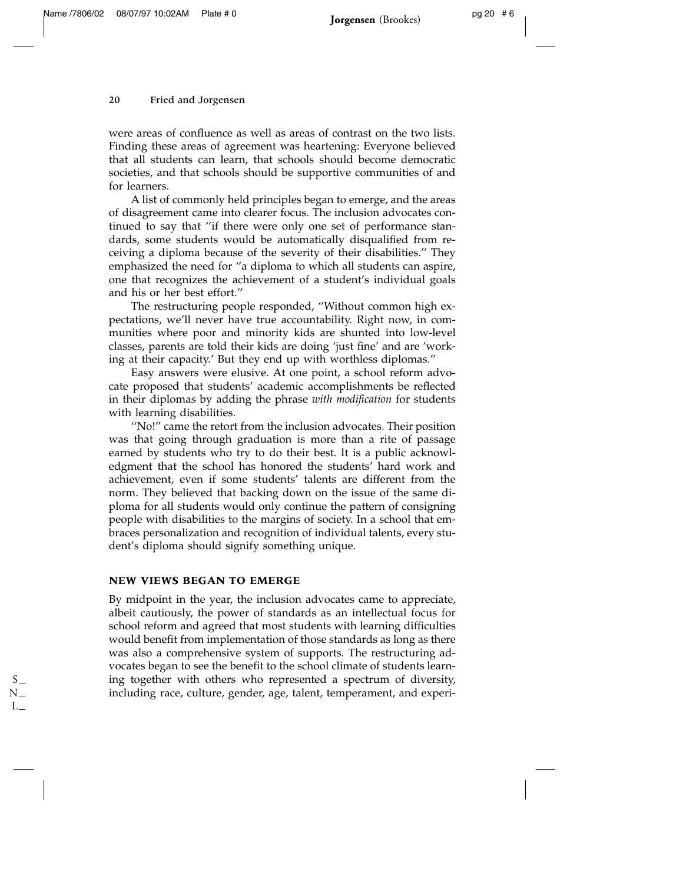were areas of confluence as well as areas of contrast on the two lists. Finding these areas of agreement was heartening: Everyone believed that all students can learn, that schools should become democratic societies, and that schools should be supportive communities of and for learners.

A list of commonly held principles began to emerge, and the areas of disagreement came into clearer focus. The inclusion advocates continued to say that ''if there were only one set of performance standards, some students would be automatically disqualified from receiving a diploma because of the severity of their disabilities.'' They emphasized the need for ''a diploma to which all students can aspire, one that recognizes the achievement of a student's individual goals and his or her best effort.''

The restructuring people responded, ''Without common high expectations, we'll never have true accountability. Right now, in communities where poor and minority kids are shunted into low-level classes, parents are told their kids are doing 'just fine' and are 'working at their capacity.' But they end up with worthless diplomas.''

Easy answers were elusive. At one point, a school reform advocate proposed that students' academic accomplishments be reflected in their diplomas by adding the phrase *with modification* for students with learning disabilities.

''No!'' came the retort from the inclusion advocates. Their position was that going through graduation is more than a rite of passage earned by students who try to do their best. It is a public acknowledgment that the school has honored the students' hard work and achievement, even if some students' talents are different from the norm. They believed that backing down on the issue of the same diploma for all students would only continue the pattern of consigning people with disabilities to the margins of society. In a school that embraces personalization and recognition of individual talents, every student's diploma should signify something unique.

#### **NEW VIEWS BEGAN TO EMERGE**

By midpoint in the year, the inclusion advocates came to appreciate, albeit cautiously, the power of standards as an intellectual focus for school reform and agreed that most students with learning difficulties would benefit from implementation of those standards as long as there was also a comprehensive system of supports. The restructuring advocates began to see the benefit to the school climate of students learning together with others who represented a spectrum of diversity, including race, culture, gender, age, talent, temperament, and experi-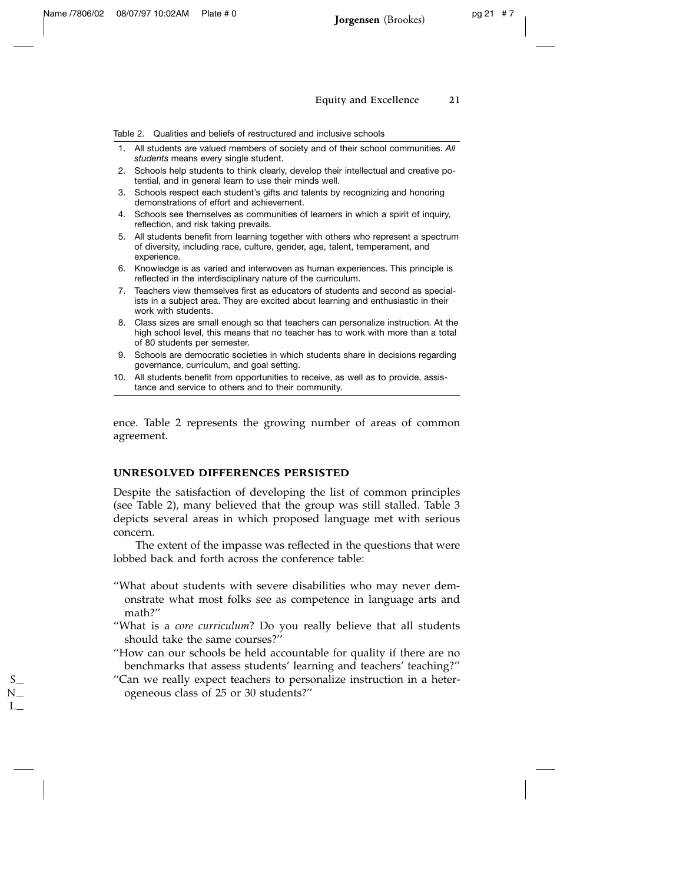**Jorgensen** (Brookes)

Table 2. Qualities and beliefs of restructured and inclusive schools

- 1. All students are valued members of society and of their school communities. *All students* means every single student.
- 2. Schools help students to think clearly, develop their intellectual and creative potential, and in general learn to use their minds well.
- 3. Schools respect each student's gifts and talents by recognizing and honoring demonstrations of effort and achievement.
- 4. Schools see themselves as communities of learners in which a spirit of inquiry, reflection, and risk taking prevails.
- 5. All students benefit from learning together with others who represent a spectrum of diversity, including race, culture, gender, age, talent, temperament, and experience.
- 6. Knowledge is as varied and interwoven as human experiences. This principle is reflected in the interdisciplinary nature of the curriculum.
- 7. Teachers view themselves first as educators of students and second as specialists in a subject area. They are excited about learning and enthusiastic in their work with students.
- 8. Class sizes are small enough so that teachers can personalize instruction. At the high school level, this means that no teacher has to work with more than a total of 80 students per semester.
- 9. Schools are democratic societies in which students share in decisions regarding governance, curriculum, and goal setting.
- 10. All students benefit from opportunities to receive, as well as to provide, assistance and service to others and to their community.

ence. Table 2 represents the growing number of areas of common agreement.

#### **UNRESOLVED DIFFERENCES PERSISTED**

Despite the satisfaction of developing the list of common principles (see Table 2), many believed that the group was still stalled. Table 3 depicts several areas in which proposed language met with serious concern.

The extent of the impasse was reflected in the questions that were lobbed back and forth across the conference table:

- ''What about students with severe disabilities who may never demonstrate what most folks see as competence in language arts and math?''
- ''What is a *core curriculum*? Do you really believe that all students should take the same courses?''
- ''How can our schools be held accountable for quality if there are no benchmarks that assess students' learning and teachers' teaching?''
- ''Can we really expect teachers to personalize instruction in a heterogeneous class of 25 or 30 students?''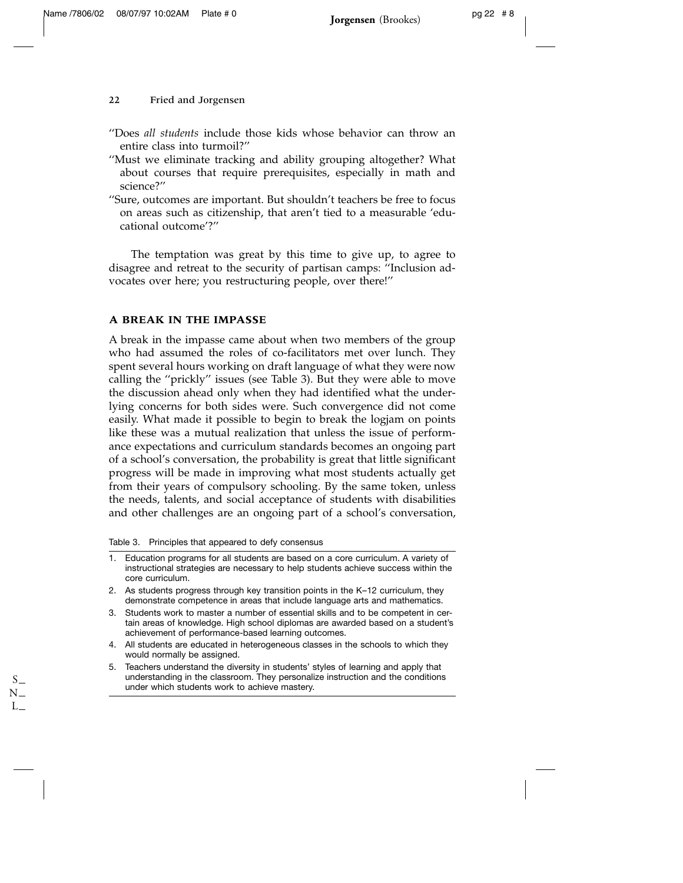- ''Does *all students* include those kids whose behavior can throw an entire class into turmoil?''
- ''Must we eliminate tracking and ability grouping altogether? What about courses that require prerequisites, especially in math and science?''
- ''Sure, outcomes are important. But shouldn't teachers be free to focus on areas such as citizenship, that aren't tied to a measurable 'educational outcome'?''

The temptation was great by this time to give up, to agree to disagree and retreat to the security of partisan camps: ''Inclusion advocates over here; you restructuring people, over there!''

#### **A BREAK IN THE IMPASSE**

A break in the impasse came about when two members of the group who had assumed the roles of co-facilitators met over lunch. They spent several hours working on draft language of what they were now calling the ''prickly'' issues (see Table 3). But they were able to move the discussion ahead only when they had identified what the underlying concerns for both sides were. Such convergence did not come easily. What made it possible to begin to break the logjam on points like these was a mutual realization that unless the issue of performance expectations and curriculum standards becomes an ongoing part of a school's conversation, the probability is great that little significant progress will be made in improving what most students actually get from their years of compulsory schooling. By the same token, unless the needs, talents, and social acceptance of students with disabilities and other challenges are an ongoing part of a school's conversation,

Table 3. Principles that appeared to defy consensus

S  $N_{-}$ L.

- 1. Education programs for all students are based on a core curriculum. A variety of instructional strategies are necessary to help students achieve success within the core curriculum.
- 2. As students progress through key transition points in the K–12 curriculum, they demonstrate competence in areas that include language arts and mathematics.
- 3. Students work to master a number of essential skills and to be competent in certain areas of knowledge. High school diplomas are awarded based on a student's achievement of performance-based learning outcomes.
- 4. All students are educated in heterogeneous classes in the schools to which they would normally be assigned.
- 5. Teachers understand the diversity in students' styles of learning and apply that understanding in the classroom. They personalize instruction and the conditions under which students work to achieve mastery.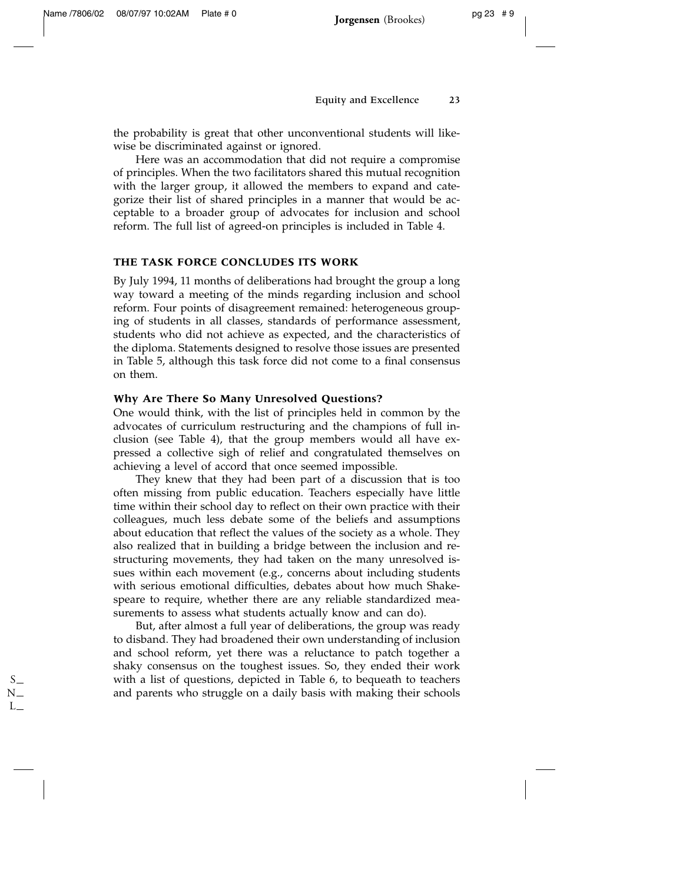**Jorgensen** (Brookes)

S N  $L_{-}$  the probability is great that other unconventional students will likewise be discriminated against or ignored.

Here was an accommodation that did not require a compromise of principles. When the two facilitators shared this mutual recognition with the larger group, it allowed the members to expand and categorize their list of shared principles in a manner that would be acceptable to a broader group of advocates for inclusion and school reform. The full list of agreed-on principles is included in Table 4.

#### **THE TASK FORCE CONCLUDES ITS WORK**

By July 1994, 11 months of deliberations had brought the group a long way toward a meeting of the minds regarding inclusion and school reform. Four points of disagreement remained: heterogeneous grouping of students in all classes, standards of performance assessment, students who did not achieve as expected, and the characteristics of the diploma. Statements designed to resolve those issues are presented in Table 5, although this task force did not come to a final consensus on them.

#### **Why Are There So Many Unresolved Questions?**

One would think, with the list of principles held in common by the advocates of curriculum restructuring and the champions of full inclusion (see Table 4), that the group members would all have expressed a collective sigh of relief and congratulated themselves on achieving a level of accord that once seemed impossible.

They knew that they had been part of a discussion that is too often missing from public education. Teachers especially have little time within their school day to reflect on their own practice with their colleagues, much less debate some of the beliefs and assumptions about education that reflect the values of the society as a whole. They also realized that in building a bridge between the inclusion and restructuring movements, they had taken on the many unresolved issues within each movement (e.g., concerns about including students with serious emotional difficulties, debates about how much Shakespeare to require, whether there are any reliable standardized measurements to assess what students actually know and can do).

But, after almost a full year of deliberations, the group was ready to disband. They had broadened their own understanding of inclusion and school reform, yet there was a reluctance to patch together a shaky consensus on the toughest issues. So, they ended their work with a list of questions, depicted in Table 6, to bequeath to teachers and parents who struggle on a daily basis with making their schools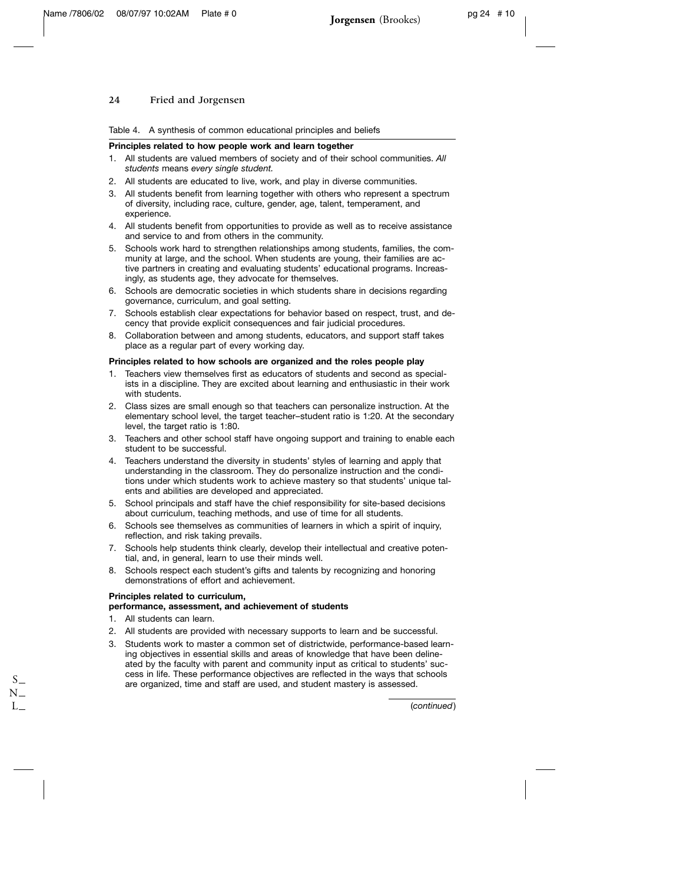Table 4. A synthesis of common educational principles and beliefs

#### **Principles related to how people work and learn together**

- 1. All students are valued members of society and of their school communities. *All students* means *every single student.*
- 2. All students are educated to live, work, and play in diverse communities.
- 3. All students benefit from learning together with others who represent a spectrum of diversity, including race, culture, gender, age, talent, temperament, and experience.
- 4. All students benefit from opportunities to provide as well as to receive assistance and service to and from others in the community.
- 5. Schools work hard to strengthen relationships among students, families, the community at large, and the school. When students are young, their families are active partners in creating and evaluating students' educational programs. Increasingly, as students age, they advocate for themselves.
- 6. Schools are democratic societies in which students share in decisions regarding governance, curriculum, and goal setting.
- 7. Schools establish clear expectations for behavior based on respect, trust, and decency that provide explicit consequences and fair judicial procedures.
- 8. Collaboration between and among students, educators, and support staff takes place as a regular part of every working day.

#### **Principles related to how schools are organized and the roles people play**

- 1. Teachers view themselves first as educators of students and second as specialists in a discipline. They are excited about learning and enthusiastic in their work with students.
- 2. Class sizes are small enough so that teachers can personalize instruction. At the elementary school level, the target teacher–student ratio is 1:20. At the secondary level, the target ratio is 1:80.
- 3. Teachers and other school staff have ongoing support and training to enable each student to be successful.
- 4. Teachers understand the diversity in students' styles of learning and apply that understanding in the classroom. They do personalize instruction and the conditions under which students work to achieve mastery so that students' unique talents and abilities are developed and appreciated.
- 5. School principals and staff have the chief responsibility for site-based decisions about curriculum, teaching methods, and use of time for all students.
- 6. Schools see themselves as communities of learners in which a spirit of inquiry, reflection, and risk taking prevails.
- 7. Schools help students think clearly, develop their intellectual and creative potential, and, in general, learn to use their minds well.
- 8. Schools respect each student's gifts and talents by recognizing and honoring demonstrations of effort and achievement.
- **Principles related to curriculum, performance, assessment, and achievement of students**
- 1. All students can learn.

S  $N_{-}$ L.

- 2. All students are provided with necessary supports to learn and be successful.
- 3. Students work to master a common set of districtwide, performance-based learning objectives in essential skills and areas of knowledge that have been delineated by the faculty with parent and community input as critical to students' success in life. These performance objectives are reflected in the ways that schools are organized, time and staff are used, and student mastery is assessed.

(*continued*)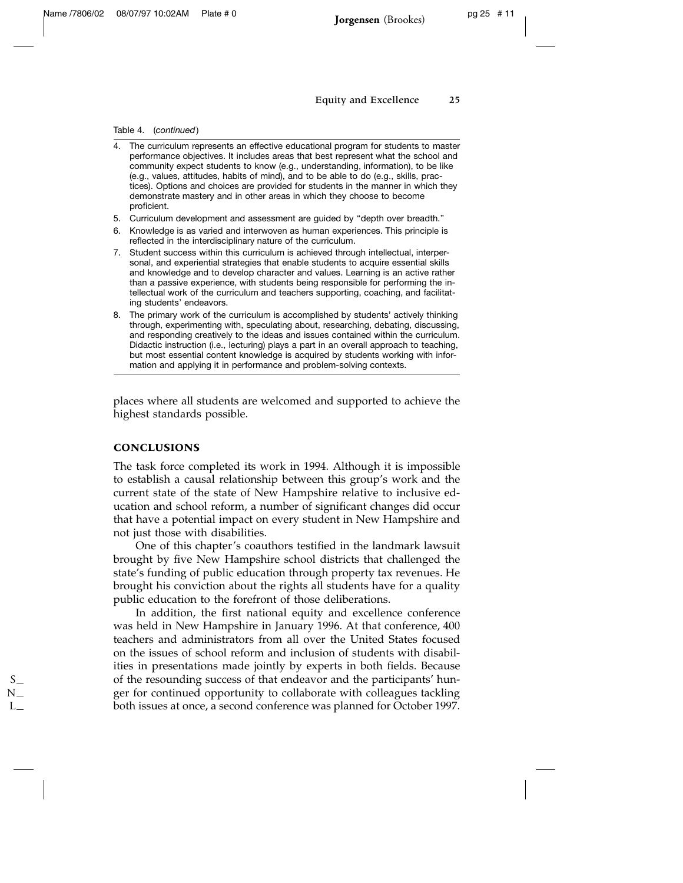**Jorgensen** (Brookes)

Table 4. (*continued*)

- The curriculum represents an effective educational program for students to master performance objectives. It includes areas that best represent what the school and community expect students to know (e.g., understanding, information), to be like (e.g., values, attitudes, habits of mind), and to be able to do (e.g., skills, practices). Options and choices are provided for students in the manner in which they demonstrate mastery and in other areas in which they choose to become proficient.
- 5. Curriculum development and assessment are guided by ''depth over breadth.''
- 6. Knowledge is as varied and interwoven as human experiences. This principle is reflected in the interdisciplinary nature of the curriculum.
- 7. Student success within this curriculum is achieved through intellectual, interpersonal, and experiential strategies that enable students to acquire essential skills and knowledge and to develop character and values. Learning is an active rather than a passive experience, with students being responsible for performing the intellectual work of the curriculum and teachers supporting, coaching, and facilitating students' endeavors.
- 8. The primary work of the curriculum is accomplished by students' actively thinking through, experimenting with, speculating about, researching, debating, discussing, and responding creatively to the ideas and issues contained within the curriculum. Didactic instruction (i.e., lecturing) plays a part in an overall approach to teaching, but most essential content knowledge is acquired by students working with information and applying it in performance and problem-solving contexts.

places where all students are welcomed and supported to achieve the highest standards possible.

#### **CONCLUSIONS**

S N L. The task force completed its work in 1994. Although it is impossible to establish a causal relationship between this group's work and the current state of the state of New Hampshire relative to inclusive education and school reform, a number of significant changes did occur that have a potential impact on every student in New Hampshire and not just those with disabilities.

One of this chapter's coauthors testified in the landmark lawsuit brought by five New Hampshire school districts that challenged the state's funding of public education through property tax revenues. He brought his conviction about the rights all students have for a quality public education to the forefront of those deliberations.

In addition, the first national equity and excellence conference was held in New Hampshire in January 1996. At that conference, 400 teachers and administrators from all over the United States focused on the issues of school reform and inclusion of students with disabilities in presentations made jointly by experts in both fields. Because of the resounding success of that endeavor and the participants' hunger for continued opportunity to collaborate with colleagues tackling both issues at once, a second conference was planned for October 1997.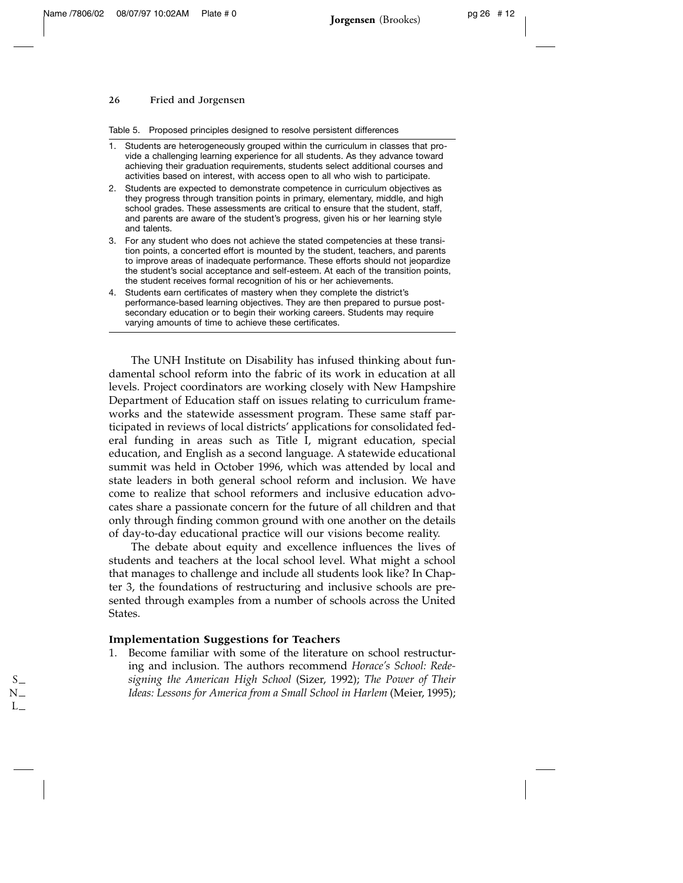Table 5. Proposed principles designed to resolve persistent differences

- Students are heterogeneously grouped within the curriculum in classes that provide a challenging learning experience for all students. As they advance toward achieving their graduation requirements, students select additional courses and activities based on interest, with access open to all who wish to participate.
- 2. Students are expected to demonstrate competence in curriculum objectives as they progress through transition points in primary, elementary, middle, and high school grades. These assessments are critical to ensure that the student, staff, and parents are aware of the student's progress, given his or her learning style and talents.
- 3. For any student who does not achieve the stated competencies at these transition points, a concerted effort is mounted by the student, teachers, and parents to improve areas of inadequate performance. These efforts should not jeopardize the student's social acceptance and self-esteem. At each of the transition points, the student receives formal recognition of his or her achievements.
- 4. Students earn certificates of mastery when they complete the district's performance-based learning objectives. They are then prepared to pursue postsecondary education or to begin their working careers. Students may require varying amounts of time to achieve these certificates.

The UNH Institute on Disability has infused thinking about fundamental school reform into the fabric of its work in education at all levels. Project coordinators are working closely with New Hampshire Department of Education staff on issues relating to curriculum frameworks and the statewide assessment program. These same staff participated in reviews of local districts' applications for consolidated federal funding in areas such as Title I, migrant education, special education, and English as a second language. A statewide educational summit was held in October 1996, which was attended by local and state leaders in both general school reform and inclusion. We have come to realize that school reformers and inclusive education advocates share a passionate concern for the future of all children and that only through finding common ground with one another on the details of day-to-day educational practice will our visions become reality.

The debate about equity and excellence influences the lives of students and teachers at the local school level. What might a school that manages to challenge and include all students look like? In Chapter 3, the foundations of restructuring and inclusive schools are presented through examples from a number of schools across the United States.

#### **Implementation Suggestions for Teachers**

S  $N_{-}$  $L_{-}$ 

1. Become familiar with some of the literature on school restructuring and inclusion. The authors recommend *Horace's School: Redesigning the American High School* (Sizer, 1992); *The Power of Their Ideas: Lessons for America from a Small School in Harlem* (Meier, 1995);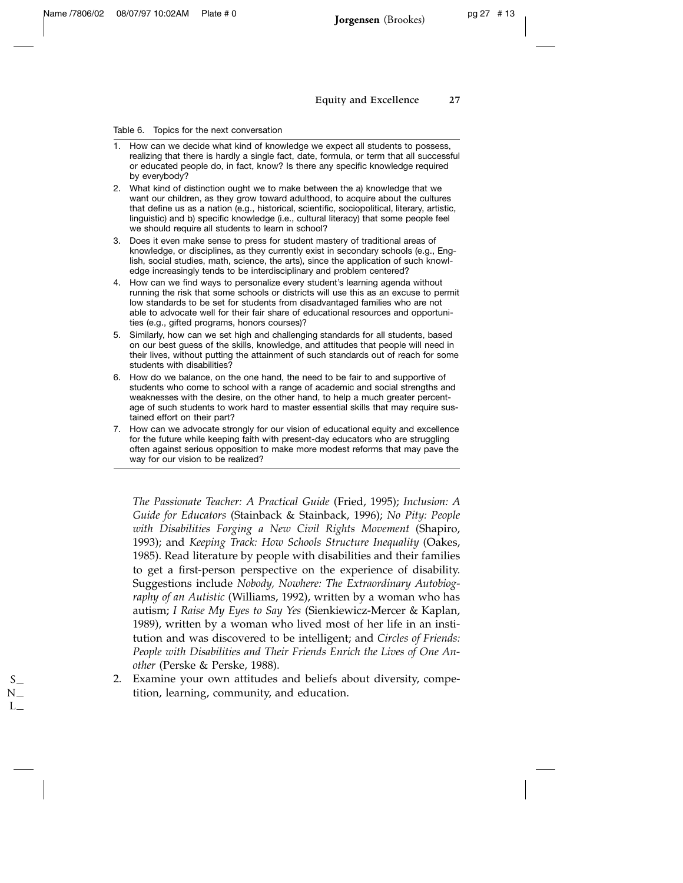**Jorgensen** (Brookes)

S N  $L_{-}$  Table 6. Topics for the next conversation

- How can we decide what kind of knowledge we expect all students to possess, realizing that there is hardly a single fact, date, formula, or term that all successful or educated people do, in fact, know? Is there any specific knowledge required by everybody?
- 2. What kind of distinction ought we to make between the a) knowledge that we want our children, as they grow toward adulthood, to acquire about the cultures that define us as a nation (e.g., historical, scientific, sociopolitical, literary, artistic, linguistic) and b) specific knowledge (i.e., cultural literacy) that some people feel we should require all students to learn in school?
- 3. Does it even make sense to press for student mastery of traditional areas of knowledge, or disciplines, as they currently exist in secondary schools (e.g., English, social studies, math, science, the arts), since the application of such knowledge increasingly tends to be interdisciplinary and problem centered?
- 4. How can we find ways to personalize every student's learning agenda without running the risk that some schools or districts will use this as an excuse to permit low standards to be set for students from disadvantaged families who are not able to advocate well for their fair share of educational resources and opportunities (e.g., gifted programs, honors courses)?
- 5. Similarly, how can we set high and challenging standards for all students, based on our best guess of the skills, knowledge, and attitudes that people will need in their lives, without putting the attainment of such standards out of reach for some students with disabilities?
- 6. How do we balance, on the one hand, the need to be fair to and supportive of students who come to school with a range of academic and social strengths and weaknesses with the desire, on the other hand, to help a much greater percentage of such students to work hard to master essential skills that may require sustained effort on their part?
- 7. How can we advocate strongly for our vision of educational equity and excellence for the future while keeping faith with present-day educators who are struggling often against serious opposition to make more modest reforms that may pave the way for our vision to be realized?

*The Passionate Teacher: A Practical Guide* (Fried, 1995); *Inclusion: A Guide for Educators* (Stainback & Stainback, 1996); *No Pity: People with Disabilities Forging a New Civil Rights Movement* (Shapiro, 1993); and *Keeping Track: How Schools Structure Inequality* (Oakes, 1985). Read literature by people with disabilities and their families to get a first-person perspective on the experience of disability. Suggestions include *Nobody, Nowhere: The Extraordinary Autobiography of an Autistic* (Williams, 1992), written by a woman who has autism; *I Raise My Eyes to Say Yes* (Sienkiewicz-Mercer & Kaplan, 1989), written by a woman who lived most of her life in an institution and was discovered to be intelligent; and *Circles of Friends: People with Disabilities and Their Friends Enrich the Lives of One Another* (Perske & Perske, 1988).

2. Examine your own attitudes and beliefs about diversity, competition, learning, community, and education.